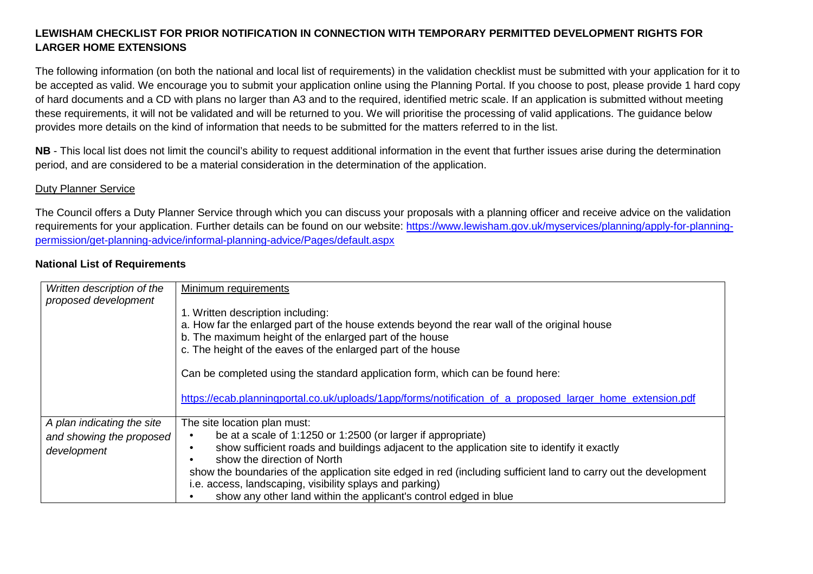## **LEWISHAM CHECKLIST FOR PRIOR NOTIFICATION IN CONNECTION WITH TEMPORARY PERMITTED DEVELOPMENT RIGHTS FOR LARGER HOME EXTENSIONS**

The following information (on both the national and local list of requirements) in the validation checklist must be submitted with your application for it to be accepted as valid. We encourage you to submit your application online using the Planning Portal. If you choose to post, please provide 1 hard copy of hard documents and a CD with plans no larger than A3 and to the required, identified metric scale. If an application is submitted without meeting these requirements, it will not be validated and will be returned to you. We will prioritise the processing of valid applications. The guidance below provides more details on the kind of information that needs to be submitted for the matters referred to in the list.

**NB** - This local list does not limit the council's ability to request additional information in the event that further issues arise during the determination period, and are considered to be a material consideration in the determination of the application.

## Duty Planner Service

The Council offers a Duty Planner Service through which you can discuss your proposals with a planning officer and receive advice on the validation requirements for your application. Further details can be found on our website: https://www.lewisham.gov.uk/myservices/planning/apply-for-planningpermission/get-planning-advice/informal-planning-advice/Pages/default.aspx

## **National List of Requirements**

| Written description of the<br>proposed development | Minimum requirements                                                                                                                                                                                                                                         |
|----------------------------------------------------|--------------------------------------------------------------------------------------------------------------------------------------------------------------------------------------------------------------------------------------------------------------|
|                                                    | 1. Written description including:<br>a. How far the enlarged part of the house extends beyond the rear wall of the original house<br>b. The maximum height of the enlarged part of the house<br>c. The height of the eaves of the enlarged part of the house |
|                                                    | Can be completed using the standard application form, which can be found here:                                                                                                                                                                               |
|                                                    | https://ecab.planningportal.co.uk/uploads/1app/forms/notification_of_a_proposed_larger_home_extension.pdf                                                                                                                                                    |
| A plan indicating the site                         | The site location plan must:                                                                                                                                                                                                                                 |
| and showing the proposed                           | be at a scale of 1:1250 or 1:2500 (or larger if appropriate)                                                                                                                                                                                                 |
| development                                        | show sufficient roads and buildings adjacent to the application site to identify it exactly<br>٠                                                                                                                                                             |
|                                                    | show the direction of North<br>$\bullet$                                                                                                                                                                                                                     |
|                                                    | show the boundaries of the application site edged in red (including sufficient land to carry out the development                                                                                                                                             |
|                                                    | i.e. access, landscaping, visibility splays and parking)                                                                                                                                                                                                     |
|                                                    | show any other land within the applicant's control edged in blue                                                                                                                                                                                             |